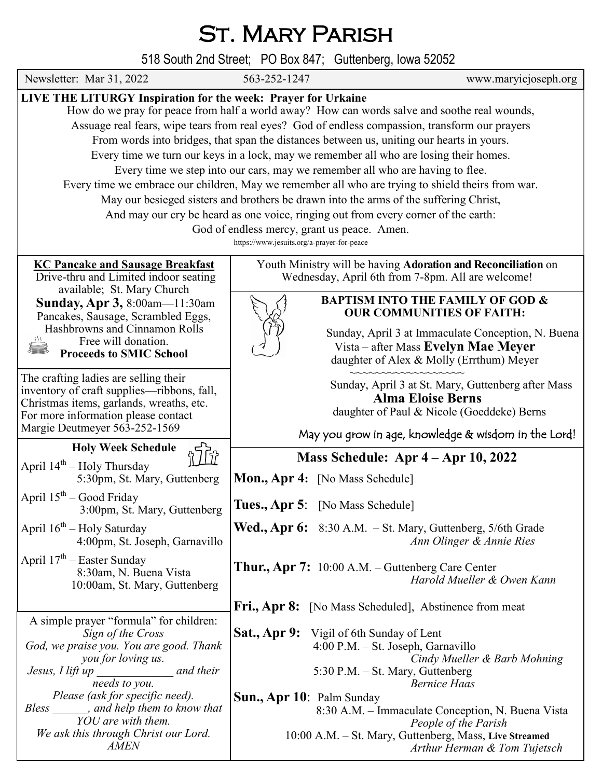## ST. MARY PARISH

518 South 2nd Street; PO Box 847; Guttenberg, Iowa 52052

| Newsletter: Mar 31, 2022                                                                                                                                                                                                                                                                                                                                                                                                                                                                                                                                                                                                                                                                                                                                                                                                                                                                                                  | 563-252-1247                     | www.maryicjoseph.org                                                                                                                                                |  |
|---------------------------------------------------------------------------------------------------------------------------------------------------------------------------------------------------------------------------------------------------------------------------------------------------------------------------------------------------------------------------------------------------------------------------------------------------------------------------------------------------------------------------------------------------------------------------------------------------------------------------------------------------------------------------------------------------------------------------------------------------------------------------------------------------------------------------------------------------------------------------------------------------------------------------|----------------------------------|---------------------------------------------------------------------------------------------------------------------------------------------------------------------|--|
| LIVE THE LITURGY Inspiration for the week: Prayer for Urkaine<br>How do we pray for peace from half a world away? How can words salve and soothe real wounds,<br>Assuage real fears, wipe tears from real eyes? God of endless compassion, transform our prayers<br>From words into bridges, that span the distances between us, uniting our hearts in yours.<br>Every time we turn our keys in a lock, may we remember all who are losing their homes.<br>Every time we step into our cars, may we remember all who are having to flee.<br>Every time we embrace our children, May we remember all who are trying to shield theirs from war.<br>May our besieged sisters and brothers be drawn into the arms of the suffering Christ,<br>And may our cry be heard as one voice, ringing out from every corner of the earth:<br>God of endless mercy, grant us peace. Amen.<br>https://www.jesuits.org/a-prayer-for-peace |                                  |                                                                                                                                                                     |  |
| <b>KC Pancake and Sausage Breakfast</b><br>Drive-thru and Limited indoor seating<br>available; St. Mary Church<br>Sunday, Apr 3, 8:00am-11:30am<br>Pancakes, Sausage, Scrambled Eggs,<br>Hashbrowns and Cinnamon Rolls<br>Free will donation.<br><b>Proceeds to SMIC School</b>                                                                                                                                                                                                                                                                                                                                                                                                                                                                                                                                                                                                                                           |                                  | Youth Ministry will be having Adoration and Reconciliation on<br>Wednesday, April 6th from 7-8pm. All are welcome!                                                  |  |
|                                                                                                                                                                                                                                                                                                                                                                                                                                                                                                                                                                                                                                                                                                                                                                                                                                                                                                                           |                                  | <b>BAPTISM INTO THE FAMILY OF GOD &amp;</b><br><b>OUR COMMUNITIES OF FAITH:</b>                                                                                     |  |
|                                                                                                                                                                                                                                                                                                                                                                                                                                                                                                                                                                                                                                                                                                                                                                                                                                                                                                                           |                                  | Sunday, April 3 at Immaculate Conception, N. Buena<br>Vista – after Mass Evelyn Mae Meyer<br>daughter of Alex & Molly (Errthum) Meyer                               |  |
| The crafting ladies are selling their<br>inventory of craft supplies—ribbons, fall,<br>Christmas items, garlands, wreaths, etc.<br>For more information please contact<br>Margie Deutmeyer 563-252-1569                                                                                                                                                                                                                                                                                                                                                                                                                                                                                                                                                                                                                                                                                                                   |                                  | Sunday, April 3 at St. Mary, Guttenberg after Mass<br><b>Alma Eloise Berns</b><br>daughter of Paul & Nicole (Goeddeke) Berns                                        |  |
| <b>Holy Week Schedule</b>                                                                                                                                                                                                                                                                                                                                                                                                                                                                                                                                                                                                                                                                                                                                                                                                                                                                                                 |                                  | May you grow in age, knowledge & wisdom in the Lord!                                                                                                                |  |
| April $14th$ – Holy Thursday<br>5:30pm, St. Mary, Guttenberg                                                                                                                                                                                                                                                                                                                                                                                                                                                                                                                                                                                                                                                                                                                                                                                                                                                              | Mon., Apr 4: [No Mass Schedule]  | Mass Schedule: Apr 4 - Apr 10, 2022                                                                                                                                 |  |
| April $15^{th}$ – Good Friday<br>3:00pm, St. Mary, Guttenberg                                                                                                                                                                                                                                                                                                                                                                                                                                                                                                                                                                                                                                                                                                                                                                                                                                                             | Tues., Apr 5: [No Mass Schedule] |                                                                                                                                                                     |  |
| April $16^{th}$ – Holy Saturday<br>4:00pm, St. Joseph, Garnavillo                                                                                                                                                                                                                                                                                                                                                                                                                                                                                                                                                                                                                                                                                                                                                                                                                                                         |                                  | <b>Wed., Apr 6:</b> 8:30 A.M. $-$ St. Mary, Guttenberg, 5/6th Grade<br>Ann Olinger & Annie Ries                                                                     |  |
| April $17th$ – Easter Sunday<br>8:30am, N. Buena Vista<br>10:00am, St. Mary, Guttenberg                                                                                                                                                                                                                                                                                                                                                                                                                                                                                                                                                                                                                                                                                                                                                                                                                                   |                                  | <b>Thur., Apr 7:</b> $10:00$ A.M. – Guttenberg Care Center<br>Harold Mueller & Owen Kann                                                                            |  |
|                                                                                                                                                                                                                                                                                                                                                                                                                                                                                                                                                                                                                                                                                                                                                                                                                                                                                                                           |                                  | <b>Fri., Apr 8:</b> [No Mass Scheduled], Abstinence from meat                                                                                                       |  |
| A simple prayer "formula" for children:<br>Sign of the Cross<br>God, we praise you. You are good. Thank<br>you for loving us.<br>$\frac{1}{1}$ and their<br>Jesus, I lift up<br>needs to you.                                                                                                                                                                                                                                                                                                                                                                                                                                                                                                                                                                                                                                                                                                                             | <b>Sat., Apr 9:</b>              | Vigil of 6th Sunday of Lent<br>4:00 P.M. - St. Joseph, Garnavillo<br>Cindy Mueller & Barb Mohning<br>5:30 P.M. – St. Mary, Guttenberg<br><b>Bernice Haas</b>        |  |
| Please (ask for specific need).<br>Bless ______, and help them to know that<br>YOU are with them.<br>We ask this through Christ our Lord.<br><b>AMEN</b>                                                                                                                                                                                                                                                                                                                                                                                                                                                                                                                                                                                                                                                                                                                                                                  | Sun., Apr 10: Palm Sunday        | 8:30 A.M. – Immaculate Conception, N. Buena Vista<br>People of the Parish<br>10:00 A.M. - St. Mary, Guttenberg, Mass, Live Streamed<br>Arthur Herman & Tom Tujetsch |  |